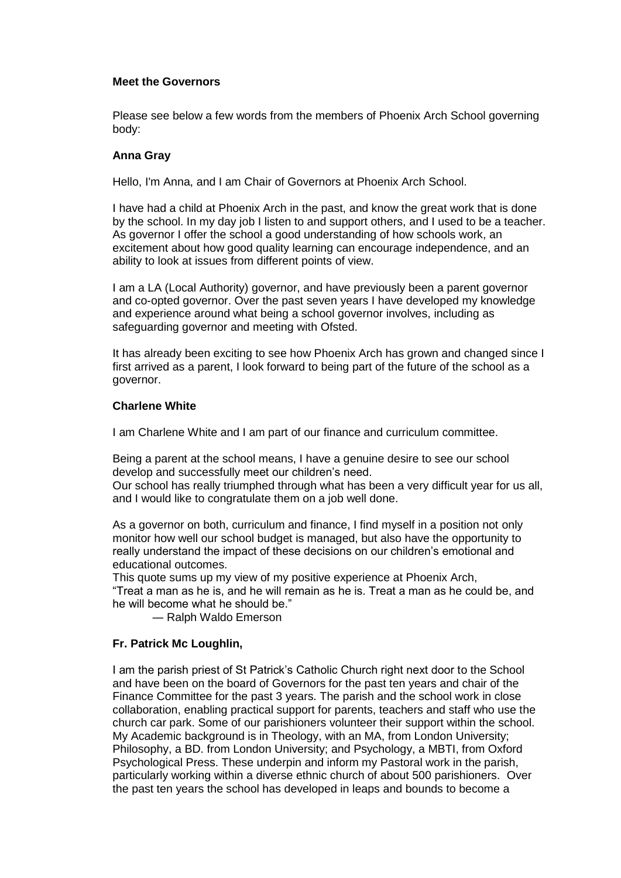## **Meet the Governors**

Please see below a few words from the members of Phoenix Arch School governing body:

## **Anna Gray**

Hello, I'm Anna, and I am Chair of Governors at Phoenix Arch School.

I have had a child at Phoenix Arch in the past, and know the great work that is done by the school. In my day job I listen to and support others, and I used to be a teacher. As governor I offer the school a good understanding of how schools work, an excitement about how good quality learning can encourage independence, and an ability to look at issues from different points of view.

I am a LA (Local Authority) governor, and have previously been a parent governor and co-opted governor. Over the past seven years I have developed my knowledge and experience around what being a school governor involves, including as safeguarding governor and meeting with Ofsted.

It has already been exciting to see how Phoenix Arch has grown and changed since I first arrived as a parent, I look forward to being part of the future of the school as a governor.

## **Charlene White**

I am Charlene White and I am part of our finance and curriculum committee.

Being a parent at the school means, I have a genuine desire to see our school develop and successfully meet our children's need.

Our school has really triumphed through what has been a very difficult year for us all, and I would like to congratulate them on a job well done.

As a governor on both, curriculum and finance, I find myself in a position not only monitor how well our school budget is managed, but also have the opportunity to really understand the impact of these decisions on our children's emotional and educational outcomes.

This quote sums up my view of my positive experience at Phoenix Arch, "Treat a man as he is, and he will remain as he is. Treat a man as he could be, and he will become what he should be."

― Ralph Waldo Emerson

# **Fr. Patrick Mc Loughlin,**

I am the parish priest of St Patrick's Catholic Church right next door to the School and have been on the board of Governors for the past ten years and chair of the Finance Committee for the past 3 years. The parish and the school work in close collaboration, enabling practical support for parents, teachers and staff who use the church car park. Some of our parishioners volunteer their support within the school. My Academic background is in Theology, with an MA, from London University; Philosophy, a BD. from London University; and Psychology, a MBTI, from Oxford Psychological Press. These underpin and inform my Pastoral work in the parish, particularly working within a diverse ethnic church of about 500 parishioners. Over the past ten years the school has developed in leaps and bounds to become a